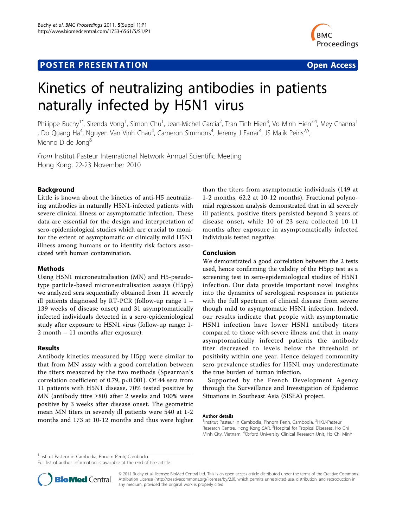## **POSTER PRESENTATION CONSUMING THE SERVICE SERVICE SERVICES**



# Kinetics of neutralizing antibodies in patients naturally infected by H5N1 virus

Philippe Buchy<sup>1\*</sup>, Sirenda Vong<sup>1</sup>, Simon Chu<sup>1</sup>, Jean-Michel Garcia<sup>2</sup>, Tran Tinh Hien<sup>3</sup>, Vo Minh Hien<sup>3,4</sup>, Mey Channa<sup>1</sup> , Do Quang Ha<sup>4</sup>, Nguyen Van Vinh Chau<sup>4</sup>, Cameron Simmons<sup>4</sup>, Jeremy J Farrar<sup>4</sup>, JS Malik Peiris<sup>2,5</sup>, Menno D de Jong<sup>6</sup>

From Institut Pasteur International Network Annual Scientific Meeting Hong Kong. 22-23 November 2010

### **Background**

Little is known about the kinetics of anti-H5 neutralizing antibodies in naturally H5N1-infected patients with severe clinical illness or asymptomatic infection. These data are essential for the design and interpretation of sero-epidemiological studies which are crucial to monitor the extent of asymptomatic or clinically mild H5N1 illness among humans or to identify risk factors associated with human contamination.

#### Methods

Using H5N1 microneutralisation (MN) and H5-pseudotype particle-based microneutralisation assays (H5pp) we analyzed sera sequentially obtained from 11 severely ill patients diagnosed by RT-PCR (follow-up range 1 – 139 weeks of disease onset) and 31 asymptomatically infected individuals detected in a sero-epidemiological study after exposure to H5N1 virus (follow-up range: 1- 2 month – 11 months after exposure).

#### Results

Antibody kinetics measured by H5pp were similar to that from MN assay with a good correlation between the titers measured by the two methods (Spearman's correlation coefficient of 0.79, p<0.001). Of 44 sera from 11 patients with H5N1 disease, 70% tested positive by MN (antibody titre  $\geq 80$ ) after 2 weeks and 100% were positive by 3 weeks after disease onset. The geometric mean MN titers in severely ill patients were 540 at 1-2 months and 173 at 10-12 months and thus were higher

than the titers from asymptomatic individuals (149 at 1-2 months, 62.2 at 10-12 months). Fractional polynomial regression analysis demonstrated that in all severely ill patients, positive titers persisted beyond 2 years of disease onset, while 10 of 23 sera collected 10-11 months after exposure in asymptomatically infected individuals tested negative.

#### Conclusion

We demonstrated a good correlation between the 2 tests used, hence confirming the validity of the H5pp test as a screening test in sero-epidemiological studies of H5N1 infection. Our data provide important novel insights into the dynamics of serological responses in patients with the full spectrum of clinical disease from severe though mild to asymptomatic H5N1 infection. Indeed, our results indicate that people with asymptomatic H5N1 infection have lower H5N1 antibody titers compared to those with severe illness and that in many asymptomatically infected patients the antibody titer decreased to levels below the threshold of positivity within one year. Hence delayed community sero-prevalence studies for H5N1 may underestimate the true burden of human infection.

Supported by the French Development Agency through the Surveillance and Investigation of Epidemic Situations in Southeast Asia (SISEA) project.

#### Author details

<sup>1</sup>Institut Pasteur in Cambodia, Phnom Penh, Cambodia. <sup>2</sup>HKU-Pasteur Research Centre, Hong Kong SAR. <sup>3</sup>Hospital for Tropical Diseases, Ho Chi Minh City, Vietnam. <sup>4</sup>Oxford University Clinical Research Unit, Ho Chi Minh

<sup>1</sup>Institut Pasteur in Cambodia, Phnom Penh, Cambodia

Full list of author information is available at the end of the article



© 2011 Buchy et al; licensee BioMed Central Ltd. This is an open access article distributed under the terms of the Creative Commons Attribution License [\(http://creativecommons.org/licenses/by/2.0](http://creativecommons.org/licenses/by/2.0)), which permits unrestricted use, distribution, and reproduction in any medium, provided the original work is properly cited.